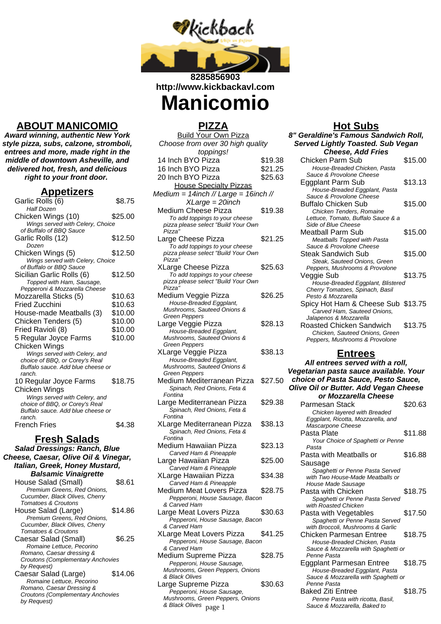

**http://www.kickbackavl.com**

# **Manicomio**

## **ABOUT MANICOMIO**

**Award winning, authentic New York style pizza, subs, calzone, stromboli, entrees and more, made right in the middle of downtown Asheville, and delivered hot, fresh, and delicious right to your front door.**

#### **Appetizers**

| $\overline{\phantom{a}}$<br>j<br>Garlic Rolls (6)                   | \$8.75  |
|---------------------------------------------------------------------|---------|
| <b>Half Dozen</b>                                                   |         |
| Chicken Wings (10)                                                  | \$25.00 |
| Wings served with Celery, Choice                                    |         |
| of Buffalo of BBQ Sauce                                             |         |
| Garlic Rolls (12)                                                   | \$12.50 |
| Dozen                                                               |         |
| Chicken Wings (5)                                                   | \$12.50 |
| Wings served with Celery, Choice<br>of Buffalo or BBQ Sauce         |         |
|                                                                     |         |
| Sicilian Garlic Rolls (6)                                           | \$12.50 |
| Topped with Ham, Sausage,<br>Pepperoni & Mozzarella Cheese          |         |
| Mozzarella Sticks (5)                                               | \$10.63 |
| Fried Zucchini                                                      | \$10.63 |
|                                                                     |         |
| House-made Meatballs (3)                                            | \$10.00 |
| Chicken Tenders (5)                                                 | \$10.00 |
| Fried Ravioli (8)                                                   | \$10.00 |
| 5 Regular Joyce Farms                                               | \$10.00 |
| Chicken Wings                                                       |         |
| Wings served with Celery, and                                       |         |
| choice of BBQ, or Corey's Real                                      |         |
| Buffalo sauce. Add blue cheese or                                   |         |
| ranch.                                                              |         |
| 10 Regular Joyce Farms                                              | \$18.75 |
| Chicken Wings                                                       |         |
| Wings served with Celery, and                                       |         |
| choice of BBQ, or Corey's Real<br>Buffalo sauce. Add blue cheese or |         |
| ranch.                                                              |         |
| French Fries                                                        | \$4.38  |
|                                                                     |         |

#### **Fresh Salads**

**Salad Dressings: Ranch, Blue Cheese, Caesar, Olive Oil & Vinegar, Italian, Greek, Honey Mustard, Balsamic Vinaigrette** House Salad (Small) \$8.61

| House Salad (Small)                      | აბ.0 I  |
|------------------------------------------|---------|
| Premium Greens. Red Onions.              |         |
| Cucumber, Black Olives, Cherry           |         |
| Tomatoes & Croutons                      |         |
| House Salad (Large)                      | \$14.86 |
| Premium Greens, Red Onions.              |         |
| Cucumber, Black Olives, Cherry           |         |
| Tomatoes & Croutons                      |         |
| Caesar Salad (Small)                     | \$6.25  |
| Romaine Lettuce, Pecorino                |         |
| Romano, Caesar dressing &                |         |
| <b>Croutons (Complementary Anchovies</b> |         |
| by Request)                              |         |
| Caesar Salad (Large)                     | \$14.06 |
| Romaine Lettuce, Pecorino                |         |
| Romano, Caesar Dressing &                |         |
| <b>Croutons (Complementary Anchovies</b> |         |
| by Request)                              |         |
|                                          |         |

#### **PIZZA**

|                                                               |         | nut ouns                                                     |
|---------------------------------------------------------------|---------|--------------------------------------------------------------|
| <b>Build Your Own Pizza</b>                                   |         | 8" Geraldine's Famous Sand                                   |
| Choose from over 30 high quality                              |         | <b>Served Lightly Toasted. Su</b>                            |
| toppings!                                                     |         | <b>Cheese, Add Fries</b>                                     |
| 14 Inch BYO Pizza                                             | \$19.38 | Chicken Parm Sub                                             |
| 16 Inch BYO Pizza                                             | \$21.25 | House-Breaded Chicken, Pa                                    |
| 20 Inch BYO Pizza                                             | \$25.63 | Sauce & Provolone Cheese                                     |
| <b>House Specialty Pizzas</b>                                 |         | Eggplant Parm Sub<br>House-Breaded Eggplant, P               |
| Medium = $14$ inch // Large = $16$ inch //                    |         | Sauce & Provolone Cheese                                     |
| $XLarge = 20$ inch                                            |         | Buffalo Chicken Sub                                          |
| Medium Cheese Pizza                                           | \$19.38 | Chicken Tenders, Romaine                                     |
| To add toppings to your cheese                                |         | Lettuce, Tomato, Buffalo Sauc                                |
| pizza please select "Build Your Own<br>Pizza"                 |         | <b>Side of Blue Cheese</b>                                   |
| Large Cheese Pizza                                            | \$21.25 | Meatball Parm Sub                                            |
| To add toppings to your cheese                                |         | Meatballs Topped with Pasta<br>Sauce & Provolone Cheese      |
| pizza please select "Build Your Own                           |         | <b>Steak Sandwich Sub</b>                                    |
| Pizza"                                                        |         | Steak, Sauteed Onions, Gre                                   |
| XLarge Cheese Pizza                                           | \$25.63 | Peppers, Mushrooms & Provol                                  |
| To add toppings to your cheese                                |         | Veggie Sub                                                   |
| pizza please select "Build Your Own<br>Pizza"                 |         | House-Breaded Eggplant, B.                                   |
| Medium Veggie Pizza                                           | \$26.25 | Cherry Tomatoes, Spinach, Ba<br>Pesto & Mozzarella           |
| House-Breaded Eggplant,                                       |         | Spicy Hot Ham & Cheese                                       |
| Mushrooms, Sauteed Onions &                                   |         | Carved Ham, Sauteed Onior                                    |
| <b>Green Peppers</b>                                          |         | Jalapenos & Mozzarella                                       |
| Large Veggie Pizza                                            | \$28.13 | Roasted Chicken Sandwic                                      |
| House-Breaded Eggplant,                                       |         | Chicken, Sauteed Onions, G                                   |
| Mushrooms, Sauteed Onions &<br><b>Green Peppers</b>           |         | Peppers, Mushrooms & Provol                                  |
| XLarge Veggie Pizza                                           | \$38.13 | <b>Entrees</b>                                               |
| House-Breaded Eggplant,                                       |         |                                                              |
| Mushrooms, Sauteed Onions &                                   |         | All entrees served with                                      |
| <b>Green Peppers</b>                                          |         | Vegetarian pasta sauce avai                                  |
| Medium Mediterranean Pizza                                    | \$27.50 | choice of Pasta Sauce, Pes                                   |
| Spinach, Red Onions, Feta &<br>Fontina                        |         | <b>Olive Oil or Butter. Add Veg</b>                          |
|                                                               |         | or Mozzarella Chee:                                          |
|                                                               |         |                                                              |
| Large Mediterranean Pizza                                     | \$29.38 | <b>Parmesan Stack</b>                                        |
| Spinach, Red Onions, Feta &<br>Fontina                        |         | Chicken layered with Breade                                  |
| XLarge Mediterranean Pizza                                    | \$38.13 | Eggplant, Ricotta, Mozzarella,                               |
| Spinach, Red Onions, Feta &                                   |         | Mascarpone Cheese<br>Pasta Plate                             |
| Fontina                                                       |         | Your Choice of Spaghetti or                                  |
| Medium Hawaiian Pizza                                         | \$23.13 | Pasta                                                        |
| Carved Ham & Pineapple                                        |         | Pasta with Meatballs or                                      |
| Large Hawaiian Pizza                                          | \$25.00 | Sausage                                                      |
| Carved Ham & Pineapple                                        |         | Spaghetti or Penne Pasta Se                                  |
| XLarge Hawaiian Pizza                                         | \$34.38 | with Two House-Made Meatba                                   |
| Carved Ham & Pineapple                                        |         | House Made Sausage                                           |
| Medium Meat Lovers Pizza                                      | \$28.75 | Pasta with Chicken                                           |
| Pepperoni, House Sausage, Bacon<br>& Carved Ham               |         | Spaghetti or Penne Pasta Se<br>with Roasted Chicken          |
| Large Meat Lovers Pizza                                       | \$30.63 | Pasta with Vegetables                                        |
| Pepperoni, House Sausage, Bacon                               |         | Spaghetti or Penne Pasta Se                                  |
| & Carved Ham                                                  |         | with Broccoli, Mushrooms & Ga                                |
| XLarge Meat Lovers Pizza                                      | \$41.25 | <b>Chicken Parmesan Entree</b>                               |
| Pepperoni, House Sausage, Bacon                               |         | House-Breaded Chicken, Pa                                    |
| & Carved Ham                                                  |         | Sauce & Mozzarella with Spag                                 |
| Medium Supreme Pizza                                          | \$28.75 | Penne Pasta                                                  |
| Pepperoni, House Sausage,<br>Mushrooms, Green Peppers, Onions |         | Eggplant Parmesan Entree                                     |
| & Black Olives                                                |         | House-Breaded Eggplant, P<br>Sauce & Mozzarella with Spag    |
| Large Supreme Pizza                                           | \$30.63 | Penne Pasta                                                  |
| Pepperoni, House Sausage,                                     |         | <b>Baked Ziti Entree</b>                                     |
| Mushrooms, Green Peppers, Onions<br>& Black Olives<br>page 1  |         | Penne Pasta with ricotta, Ba<br>Sauce & Mozzarella, Baked to |

## **Hot Subs**

| <u>HOI ƏUDS</u>                                                      |         |
|----------------------------------------------------------------------|---------|
| 8" Geraldine's Famous Sandwich Roll,                                 |         |
| <b>Served Lightly Toasted. Sub Vegan</b>                             |         |
| <b>Cheese, Add Fries</b>                                             |         |
| Chicken Parm Sub                                                     | \$15.00 |
| House-Breaded Chicken, Pasta                                         |         |
| Sauce & Provolone Cheese                                             |         |
| Eggplant Parm Sub                                                    | \$13.13 |
| House-Breaded Eggplant, Pasta                                        |         |
| Sauce & Provolone Cheese                                             |         |
| Buffalo Chicken Sub                                                  | \$15.00 |
| Chicken Tenders, Romaine                                             |         |
| Lettuce, Tomato, Buffalo Sauce & a                                   |         |
| Side of Blue Cheese                                                  |         |
| Meatball Parm Sub                                                    | \$15.00 |
| Meatballs Topped with Pasta                                          |         |
| Sauce & Provolone Cheese                                             |         |
| Steak Sandwich Sub                                                   | \$15.00 |
| Steak, Sauteed Onions, Green                                         |         |
| Peppers, Mushrooms & Provolone                                       |         |
| Veggie Sub                                                           | \$13.75 |
| House-Breaded Eggplant, Blistered<br>Cherry Tomatoes, Spinach, Basil |         |
| Pesto & Mozzarella                                                   |         |
| Spicy Hot Ham & Cheese Sub \$13.75                                   |         |
| Carved Ham, Sauteed Onions,                                          |         |
| Jalapenos & Mozzarella                                               |         |
| Roasted Chicken Sandwich                                             | \$13.75 |
| Chicken, Sauteed Onions, Green                                       |         |
| Peppers, Mushrooms & Provolone                                       |         |
|                                                                      |         |
| <b>Entrees</b>                                                       |         |
| All entrees served with a roll,                                      |         |
| Vegetarian pasta sauce available. Your                               |         |
| choice of Pasta Sauce, Pesto Sauce,                                  |         |
| <b>Olive Oil or Butter. Add Vegan Cheese</b>                         |         |
| or Mozzarella Cheese                                                 |         |
| Parmesan Stack                                                       | \$20.63 |
| Chicken layered with Breaded                                         |         |
| Eggplant, Ricotta, Mozzarella, and                                   |         |

- Eggplant, Ricotta, Mozzarella, and Mascarpone Cheese Pasta Plate \$11.88 Your Choice of Spaghetti or Penne Pasta Pasta with Meatballs or Sausage \$16.88 Spaghetti or Penne Pasta Served with Two House-Made Meatballs or House Made Sausage Pasta with Chicken \$18.75 Spaghetti or Penne Pasta Served with Roasted Chicken Pasta with Vegetables \$17.50 Spaghetti or Penne Pasta Served with Broccoli, Mushrooms & Garlic Chicken Parmesan Entree \$18.75 House-Breaded Chicken, Pasta Sauce & Mozzarella with Spaghetti or Penne Pasta Eggplant Parmesan Entree \$18.75 House-Breaded Eggplant, Pasta Sauce & Mozzarella with Spaghetti or Penne Pasta Baked Ziti Entree \$18.75
	- Penne Pasta with ricotta, Basil,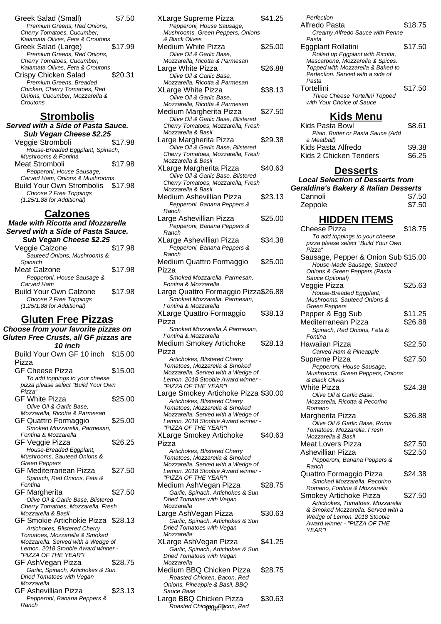Greek Salad (Small) \$7.50 Premium Greens, Red Onions, Cherry Tomatoes, Cucumber, Kalamata Olives, Feta & Croutons Greek Salad (Large) \$17.99 Premium Greens, Red Onions, Cherry Tomatoes, Cucumber, Kalamata Olives, Feta & Croutons Crispy Chicken Salad \$20.31 Premium Greens, Breaded Chicken, Cherry Tomatoes, Red Onions, Cucumber, Mozzarella & Croutons

### **Strombolis**

#### **Served with a Side of Pasta Sauce. Sub Vegan Cheese \$2.25**

Veggie Stromboli \$17.98 House-Breaded Eggplant, Spinach, Mushrooms & Fontina Meat Stromboli \$17.98 Pepperoni, House Sausage, Carved Ham, Onions & Mushrooms Build Your Own Strombolis \$17.98 Choose 2 Free Toppings  $(1.25/1.88$  for Additional)

#### **Calzones**

#### **Made with Ricotta and Mozzarella Served with a Side of Pasta Sauce. Sub Vegan Cheese \$2.25**

| ουν ντγαιι υποτοτ φ2.2υ       |         |
|-------------------------------|---------|
| Veggie Calzone                | \$17.98 |
| Sauteed Onions, Mushrooms &   |         |
| Spinach                       |         |
| Meat Calzone                  | \$17.98 |
| Pepperoni, House Sausage &    |         |
| Carved Ham                    |         |
| <b>Build Your Own Calzone</b> | \$17.98 |
| Choose 2 Free Toppings        |         |
| (1.25/1.88 for Additional)    |         |
|                               |         |

#### **Gluten Free Pizzas**

**Choose from your favorite pizzas on Gluten Free Crusts, all GF pizzas are 10 inch** Build Your Own GF 10 inch \$15.00 Pizza GF Cheese Pizza \$15.00 To add toppings to your cheese pizza please select "Build Your Own Pizza" GF White Pizza \$25.00 Olive Oil & Garlic Base, Mozzarella, Ricotta & Parmesan GF Quattro Formaggio \$25.00 Smoked Mozzarella, Parmesan, Fontina & Mozzarella GF Veggie Pizza  $$26.25$ House-Breaded Eggplant, Mushrooms, Sauteed Onions & Green Peppers GF Mediterranean Pizza \$27.50 Spinach, Red Onions, Feta & Fontina GF Margherita  $$27.50$ Olive Oil & Garlic Base, Blistered Cherry Tomatoes, Mozzarella, Fresh Mozzarella & Basil GF Smokie Artichokie Pizza \$28.13 Artichokes, Blistered Cherry Tomatoes, Mozzarella & Smoked Mozzarella. Served with a Wedge of Lemon. 2018 Stoobie Award winner - "PIZZA OF THE YEAR"! GF AshVegan Pizza \$28.75 Garlic, Spinach, Artichokes & Sun Dried Tomatoes with Vegan **Mozzarella** GF Ashevillian Pizza \$23.13 Pepperoni, Banana Peppers &

| Pepperoni, Banana Peppers & |  |
|-----------------------------|--|
| Ranch                       |  |

| XLarge Supreme Pizza                 | \$41.25 |
|--------------------------------------|---------|
| Pepperoni, House Sausage,            |         |
| Mushrooms, Green Peppers, Onions     |         |
| & Black Olives                       |         |
| Medium White Pizza                   | \$25.00 |
| Olive Oil & Garlic Base,             |         |
| Mozzarella, Ricotta & Parmesan       |         |
| Large White Pizza                    | \$26.88 |
| Olive Oil & Garlic Base,             |         |
| Mozzarella, Ricotta & Parmesan       |         |
| XLarge White Pizza                   | \$38.13 |
| Olive Oil & Garlic Base,             |         |
| Mozzarella, Ricotta & Parmesan       |         |
| Medium Margherita Pizza              | \$27.50 |
| Olive Oil & Garlic Base, Blistered   |         |
| Cherry Tomatoes, Mozzarella, Fresh   |         |
| Mozzarella & Basil                   |         |
| Large Margherita Pizza               | \$29.38 |
| Olive Oil & Garlic Base, Blistered   |         |
| Cherry Tomatoes, Mozzarella, Fresh   |         |
| Mozzarella & Basil                   |         |
| XLarge Margherita Pizza              | \$40.63 |
| Olive Oil & Garlic Base, Blistered   |         |
| Cherry Tomatoes, Mozzarella, Fresh   |         |
| Mozzarella & Basil                   |         |
| Medium Ashevillian Pizza             | \$23.13 |
| Pepperoni, Banana Peppers &          |         |
| Ranch                                |         |
| Large Ashevillian Pizza              | \$25.00 |
| Pepperoni, Banana Peppers &          |         |
| Ranch                                |         |
| XLarge Ashevillian Pizza             | \$34.38 |
| Pepperoni, Banana Peppers &          |         |
| Ranch                                |         |
| Medium Quattro Formaggio             | \$25.00 |
| Pizza                                |         |
| Smoked Mozzarella, Parmesan,         |         |
| Fontina & Mozzarella                 |         |
| Large Quattro Formaggio Pizza\$26.88 |         |
| Smoked Mozzarella, Parmesan,         |         |
| Fontina & Mozzarella                 |         |
| <b>XLarge Quattro Formaggio</b>      | \$38.13 |
|                                      |         |
| Pizza                                |         |
| Smoked Mozzarella, Â Parmesan,       |         |
| Fontina & Mozzarella                 |         |
| <b>Medium Smokey Artichoke</b>       | \$28.13 |
| Pizza                                |         |
|                                      |         |
| Artichokes, Blistered Cherry         |         |
| Tomatoes, Mozzarella & Smoked        |         |
| Mozzarella. Served with a Wedge of   |         |
| Lemon. 2018 Stoobie Award winner -   |         |
| "PIZZA OF THE YEAR"!                 |         |
| Large Smokey Artichoke Pizza \$30.00 |         |
| Artichokes, Blistered Cherry         |         |
| Tomatoes, Mozzarella & Smoked        |         |
| Mozzarella. Served with a Wedge of   |         |
| Lemon. 2018 Stoobie Award winner -   |         |
| "PIZZA OF THE YEAR"!                 |         |
| <b>XLarge Smokey Artichoke</b>       | \$40.63 |
| Pizza                                |         |
| Artichokes, Blistered Cherry         |         |
| Tomatoes, Mozzarella & Smoked        |         |
| Mozzarella. Served with a Wedge of   |         |
| Lemon. 2018 Stoobie Award winner -   |         |
| "PIZZA OF THE YEAR"!                 |         |
| Medium AshVegan Pizza                | \$28.75 |
| Garlic, Spinach, Artichokes & Sun    |         |
| Dried Tomatoes with Vegan            |         |
| Mozzarella                           |         |
| Large AshVegan Pizza                 | \$30.63 |
| Garlic, Spinach, Artichokes & Sun    |         |
| Dried Tomatoes with Vegan            |         |
| Mozzarella                           |         |
| XLarge AshVegan Pizza                | \$41.25 |
| Garlic, Spinach, Artichokes & Sun    |         |
| Dried Tomatoes with Vegan            |         |

- Medium BBQ Chicken Pizza \$28.75 Roasted Chicken, Bacon, Red Onions, Pineapple & Basil, BBQ Sauce Base
- Large BBQ Chicken Pizza \$30.63 Roasted Chickan<sub>g B</sub>acon, Red

| Perfection<br>Alfredo Pasta<br>Creamy Alfredo Sauce with Penne                                                                                                                                                                       | \$18.75          |
|--------------------------------------------------------------------------------------------------------------------------------------------------------------------------------------------------------------------------------------|------------------|
| Pasta<br>Eggplant Rollatini                                                                                                                                                                                                          | \$17.50          |
| Rolled up Eggplant with Ricotta,<br>Mascarpone, Mozzarella & Spices.<br>Topped with Mozzarella & Baked to<br>Perfection. Served with a side of<br>Pasta<br>Tortellini<br>Three Cheese Tortellini Topped<br>with Your Choice of Sauce | \$17.50          |
| <u>Kids Menu</u>                                                                                                                                                                                                                     |                  |
| Kids Pasta Bowl<br>Plain, Butter or Pasta Sauce (Add<br>a Meatball)                                                                                                                                                                  | \$8.61           |
| Kids Pasta Alfredo<br>Kids 2 Chicken Tenders                                                                                                                                                                                         | \$9.38<br>\$6.25 |
| <b>Desserts</b>                                                                                                                                                                                                                      |                  |
| <b>Local Selection of Desserts from</b>                                                                                                                                                                                              |                  |
| <b>Geraldine's Bakery &amp; Italian Desserts</b>                                                                                                                                                                                     |                  |
| Cannoli                                                                                                                                                                                                                              | \$7.50           |
| Zeppole                                                                                                                                                                                                                              | \$7.50           |
| <b>HIDDEN ITEMS</b>                                                                                                                                                                                                                  |                  |
| <b>Cheese Pizza</b>                                                                                                                                                                                                                  | \$18.75          |
| To add toppings to your cheese<br>pizza please select "Build Your Own<br>Pizza"                                                                                                                                                      |                  |
| Sausage, Pepper & Onion Sub \$15.00<br>House-Made Sausage, Sauteed<br>Onions & Green Peppers (Pasta                                                                                                                                  |                  |
| Sauce Optional)<br>Veggie Pizza                                                                                                                                                                                                      | \$25.63          |
| House-Breaded Eggplant,                                                                                                                                                                                                              |                  |
| Mushrooms, Sauteed Onions &<br><b>Green Peppers</b>                                                                                                                                                                                  |                  |
| Pepper & Egg Sub                                                                                                                                                                                                                     | \$11.25          |
| Mediterranean Pizza                                                                                                                                                                                                                  | \$26.88          |
| Spinach, Red Onions, Feta &                                                                                                                                                                                                          |                  |
| Fontina                                                                                                                                                                                                                              |                  |
| Hawaiian Pizza<br>Carved Ham & Pineapple                                                                                                                                                                                             | \$22.50          |
| Supreme Pizza                                                                                                                                                                                                                        | \$27.50          |
| Pepperoni, House Sausage,                                                                                                                                                                                                            |                  |
| Mushrooms, Green Peppers, Onions                                                                                                                                                                                                     |                  |
| & Black Olives<br>White Pizza                                                                                                                                                                                                        | \$24.38          |
| Olive Oil & Garlic Base,                                                                                                                                                                                                             |                  |
| Mozzarella, Ricotta & Pecorino<br>Romano                                                                                                                                                                                             |                  |
| Margherita Pizza                                                                                                                                                                                                                     | \$26.88          |
| Olive Oil & Garlic Base, Roma                                                                                                                                                                                                        |                  |
| Tomatoes, Mozzarella, Fresh                                                                                                                                                                                                          |                  |
| Mozzarella & Basil<br><b>Meat Lovers Pizza</b>                                                                                                                                                                                       | \$27.50          |
| Ashevillian Pizza                                                                                                                                                                                                                    | \$22.50          |
| Pepperoni, Banana Peppers &                                                                                                                                                                                                          |                  |
| Ranch                                                                                                                                                                                                                                |                  |
| Quattro Formaggio Pizza<br>Smoked Mozzarella, Pecorino                                                                                                                                                                               | \$24.38          |
| Romano, Fontina & Mozzarella                                                                                                                                                                                                         |                  |
| Smokey Artichoke Pizza                                                                                                                                                                                                               | \$27.50          |
| Artichokes, Tomatoes, Mozzarella                                                                                                                                                                                                     |                  |
| & Smoked Mozzarella. Served with a                                                                                                                                                                                                   |                  |

Wedge of Lemon. 2018 Stoobie Award winner - "PIZZA OF THE YEAR"!